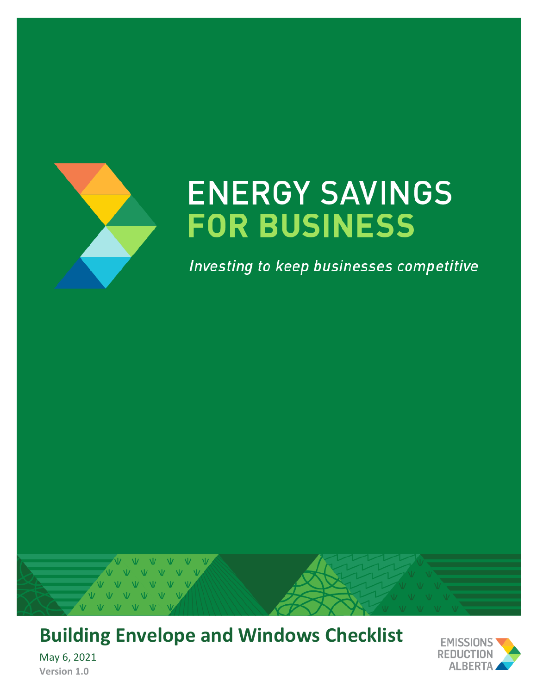

# **ENERGY SAVINGS FOR BUSINESS**

Investing to keep businesses competitive



# **Building Envelope and Windows Checklist**

May 6, 2021 **Version 1.0**

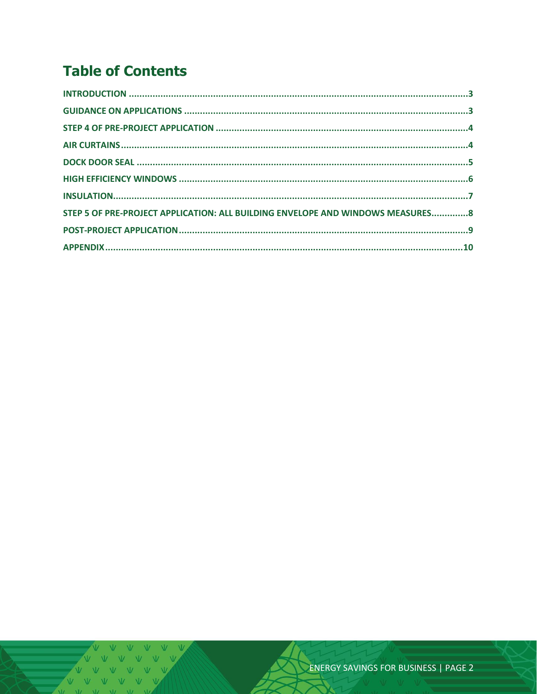# **Table of Contents**

| STEP 5 OF PRE-PROJECT APPLICATION: ALL BUILDING ENVELOPE AND WINDOWS MEASURES8 |  |
|--------------------------------------------------------------------------------|--|
|                                                                                |  |
|                                                                                |  |

V V V V V V<br>V V V V V V VVVV  $V = M - W$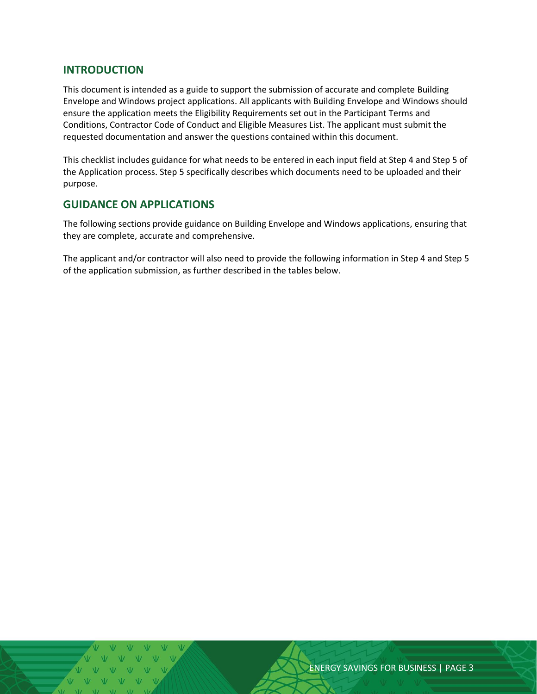#### <span id="page-2-0"></span>**INTRODUCTION**

This document is intended as a guide to support the submission of accurate and complete Building Envelope and Windows project applications. All applicants with Building Envelope and Windows should ensure the application meets the Eligibility Requirements set out in the Participant Terms and Conditions, Contractor Code of Conduct and Eligible Measures List. The applicant must submit the requested documentation and answer the questions contained within this document.

This checklist includes guidance for what needs to be entered in each input field at Step 4 and Step 5 of the Application process. Step 5 specifically describes which documents need to be uploaded and their purpose.

#### <span id="page-2-1"></span>**GUIDANCE ON APPLICATIONS**

The following sections provide guidance on Building Envelope and Windows applications, ensuring that they are complete, accurate and comprehensive.

The applicant and/or contractor will also need to provide the following information in Step 4 and Step 5 of the application submission, as further described in the tables below.

ENERGY SAVINGS FOR BUSINESS | PAGE 3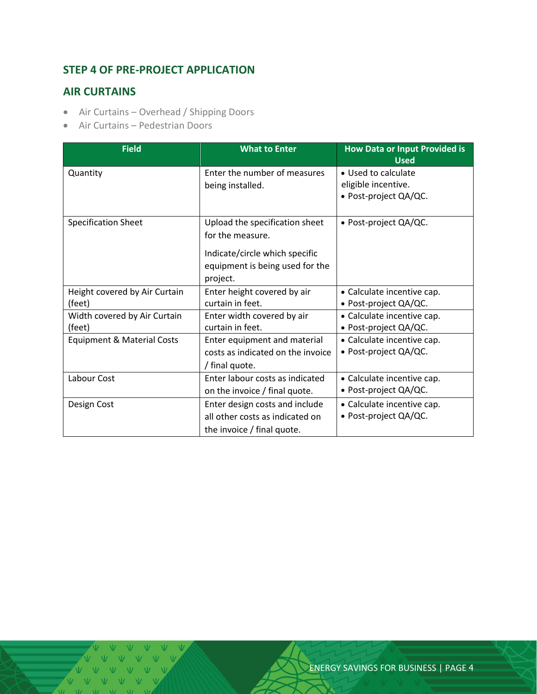## <span id="page-3-0"></span>**STEP 4 OF PRE-PROJECT APPLICATION**

#### <span id="page-3-1"></span>**AIR CURTAINS**

- Air Curtains Overhead / Shipping Doors
- Air Curtains Pedestrian Doors

| <b>Field</b>                          | <b>What to Enter</b>              | <b>How Data or Input Provided is</b><br><b>Used</b> |
|---------------------------------------|-----------------------------------|-----------------------------------------------------|
| Quantity                              | Enter the number of measures      | • Used to calculate                                 |
|                                       | being installed.                  | eligible incentive.                                 |
|                                       |                                   | • Post-project QA/QC.                               |
|                                       |                                   |                                                     |
| <b>Specification Sheet</b>            | Upload the specification sheet    | • Post-project QA/QC.                               |
|                                       | for the measure.                  |                                                     |
|                                       | Indicate/circle which specific    |                                                     |
|                                       | equipment is being used for the   |                                                     |
|                                       | project.                          |                                                     |
| Height covered by Air Curtain         | Enter height covered by air       | • Calculate incentive cap.                          |
| (feet)                                | curtain in feet.                  | • Post-project QA/QC.                               |
| Width covered by Air Curtain          | Enter width covered by air        | • Calculate incentive cap.                          |
| (feet)                                | curtain in feet.                  | • Post-project QA/QC.                               |
| <b>Equipment &amp; Material Costs</b> | Enter equipment and material      | • Calculate incentive cap.                          |
|                                       | costs as indicated on the invoice | • Post-project QA/QC.                               |
|                                       | / final quote.                    |                                                     |
| Labour Cost                           | Enter labour costs as indicated   | • Calculate incentive cap.                          |
|                                       | on the invoice / final quote.     | • Post-project QA/QC.                               |
| Design Cost                           | Enter design costs and include    | • Calculate incentive cap.                          |
|                                       | all other costs as indicated on   | • Post-project QA/QC.                               |
|                                       | the invoice / final quote.        |                                                     |

V V V VVVV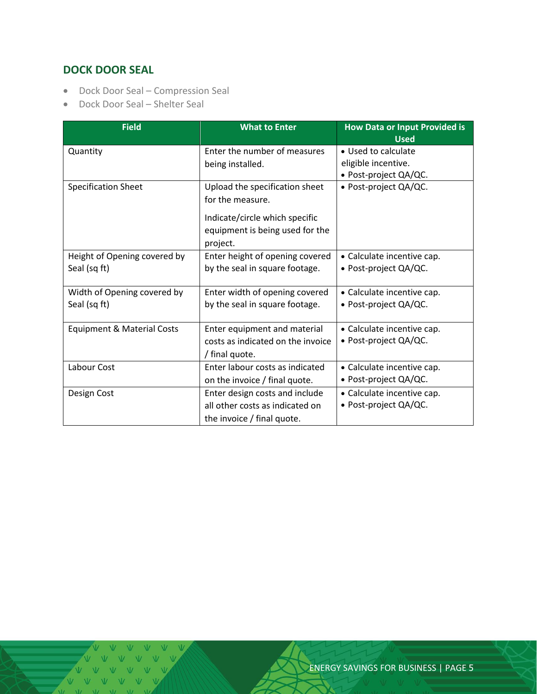# <span id="page-4-0"></span>**DOCK DOOR SEAL**

- Dock Door Seal Compression Seal
- Dock Door Seal Shelter Seal

| <b>Field</b>                          | <b>What to Enter</b>              | <b>How Data or Input Provided is</b><br><b>Used</b> |  |
|---------------------------------------|-----------------------------------|-----------------------------------------------------|--|
| Quantity                              | Enter the number of measures      | • Used to calculate                                 |  |
|                                       | being installed.                  | eligible incentive.                                 |  |
|                                       |                                   | • Post-project QA/QC.                               |  |
| <b>Specification Sheet</b>            | Upload the specification sheet    | • Post-project QA/QC.                               |  |
|                                       | for the measure.                  |                                                     |  |
|                                       | Indicate/circle which specific    |                                                     |  |
|                                       | equipment is being used for the   |                                                     |  |
|                                       | project.                          |                                                     |  |
| Height of Opening covered by          | Enter height of opening covered   | • Calculate incentive cap.                          |  |
| Seal (sq ft)                          | by the seal in square footage.    | • Post-project QA/QC.                               |  |
| Width of Opening covered by           | Enter width of opening covered    | • Calculate incentive cap.                          |  |
| Seal (sq ft)                          | by the seal in square footage.    | • Post-project QA/QC.                               |  |
| <b>Equipment &amp; Material Costs</b> | Enter equipment and material      | • Calculate incentive cap.                          |  |
|                                       | costs as indicated on the invoice | • Post-project QA/QC.                               |  |
|                                       | / final quote.                    |                                                     |  |
| Labour Cost                           | Enter labour costs as indicated   | • Calculate incentive cap.                          |  |
|                                       | on the invoice / final quote.     | • Post-project QA/QC.                               |  |
| Design Cost                           | Enter design costs and include    | • Calculate incentive cap.                          |  |
|                                       | all other costs as indicated on   | • Post-project QA/QC.                               |  |
|                                       | the invoice / final quote.        |                                                     |  |

 $V$   $V$   $V$ VVV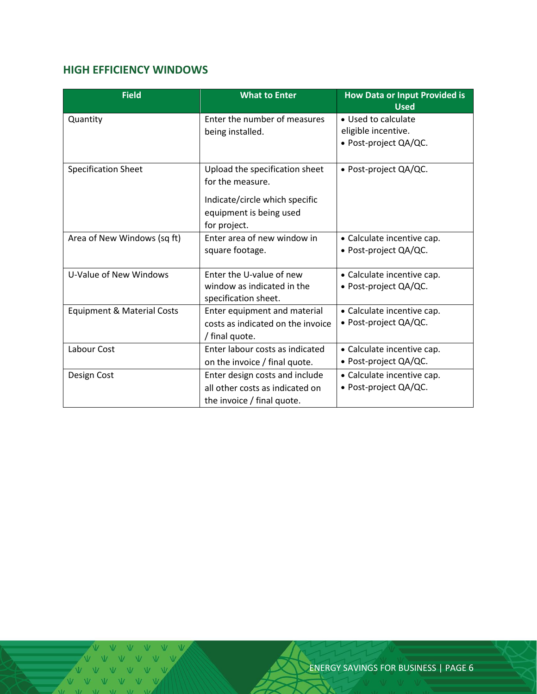# <span id="page-5-0"></span>**HIGH EFFICIENCY WINDOWS**

| <b>Field</b>                          | <b>What to Enter</b>              | <b>How Data or Input Provided is</b><br><b>Used</b> |
|---------------------------------------|-----------------------------------|-----------------------------------------------------|
| Quantity                              | Enter the number of measures      | • Used to calculate                                 |
|                                       | being installed.                  | eligible incentive.                                 |
|                                       |                                   | · Post-project QA/QC.                               |
|                                       |                                   |                                                     |
| <b>Specification Sheet</b>            | Upload the specification sheet    | · Post-project QA/QC.                               |
|                                       | for the measure.                  |                                                     |
|                                       | Indicate/circle which specific    |                                                     |
|                                       | equipment is being used           |                                                     |
|                                       | for project.                      |                                                     |
| Area of New Windows (sq ft)           | Enter area of new window in       | • Calculate incentive cap.                          |
|                                       | square footage.                   | • Post-project QA/QC.                               |
|                                       |                                   |                                                     |
| U-Value of New Windows                | Enter the U-value of new          | • Calculate incentive cap.                          |
|                                       | window as indicated in the        | · Post-project QA/QC.                               |
|                                       | specification sheet.              |                                                     |
| <b>Equipment &amp; Material Costs</b> | Enter equipment and material      | • Calculate incentive cap.                          |
|                                       | costs as indicated on the invoice | • Post-project QA/QC.                               |
|                                       | / final quote.                    |                                                     |
| Labour Cost                           | Enter labour costs as indicated   | • Calculate incentive cap.                          |
|                                       | on the invoice / final quote.     | • Post-project $QA/QC$ .                            |
| Design Cost                           | Enter design costs and include    | • Calculate incentive cap.                          |
|                                       | all other costs as indicated on   | • Post-project QA/QC.                               |
|                                       | the invoice / final quote.        |                                                     |

V V V V V V V V VVV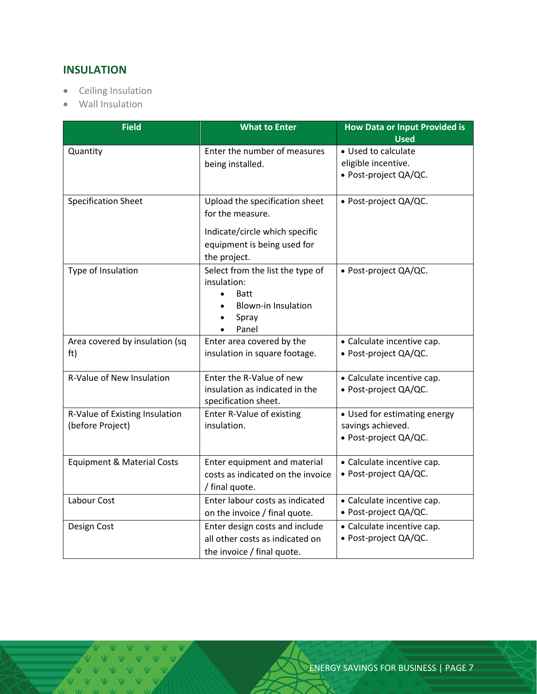# <span id="page-6-0"></span>**INSULATION**

- Ceiling Insulation
- Wall Insulation

| <b>Field</b>                                       | <b>What to Enter</b>                                                                                                                                  | <b>How Data or Input Provided is</b><br><b>Used</b>                        |  |
|----------------------------------------------------|-------------------------------------------------------------------------------------------------------------------------------------------------------|----------------------------------------------------------------------------|--|
| Quantity                                           | Enter the number of measures<br>being installed.                                                                                                      | • Used to calculate<br>eligible incentive.<br>· Post-project QA/QC.        |  |
| <b>Specification Sheet</b>                         | Upload the specification sheet<br>for the measure.<br>Indicate/circle which specific<br>equipment is being used for<br>the project.                   | • Post-project QA/QC.                                                      |  |
| Type of Insulation                                 | Select from the list the type of<br>insulation:<br><b>Batt</b><br>$\bullet$<br><b>Blown-in Insulation</b><br>$\bullet$<br>Spray<br>$\bullet$<br>Panel | · Post-project QA/QC.                                                      |  |
| Area covered by insulation (sq<br>ft)              | Enter area covered by the<br>insulation in square footage.                                                                                            | • Calculate incentive cap.<br>• Post-project QA/QC.                        |  |
| <b>R-Value of New Insulation</b>                   | Enter the R-Value of new<br>insulation as indicated in the<br>specification sheet.                                                                    | • Calculate incentive cap.<br>• Post-project QA/QC.                        |  |
| R-Value of Existing Insulation<br>(before Project) | Enter R-Value of existing<br>insulation.                                                                                                              | • Used for estimating energy<br>savings achieved.<br>• Post-project QA/QC. |  |
| <b>Equipment &amp; Material Costs</b>              | Enter equipment and material<br>costs as indicated on the invoice<br>/ final quote.                                                                   | • Calculate incentive cap.<br>• Post-project QA/QC.                        |  |
| Labour Cost                                        | Enter labour costs as indicated<br>on the invoice / final quote.                                                                                      | • Calculate incentive cap.<br>• Post-project QA/QC.                        |  |
| Design Cost                                        | Enter design costs and include<br>all other costs as indicated on<br>the invoice / final quote.                                                       | • Calculate incentive cap.<br>· Post-project QA/QC.                        |  |

VVVVVV VVVVV VVV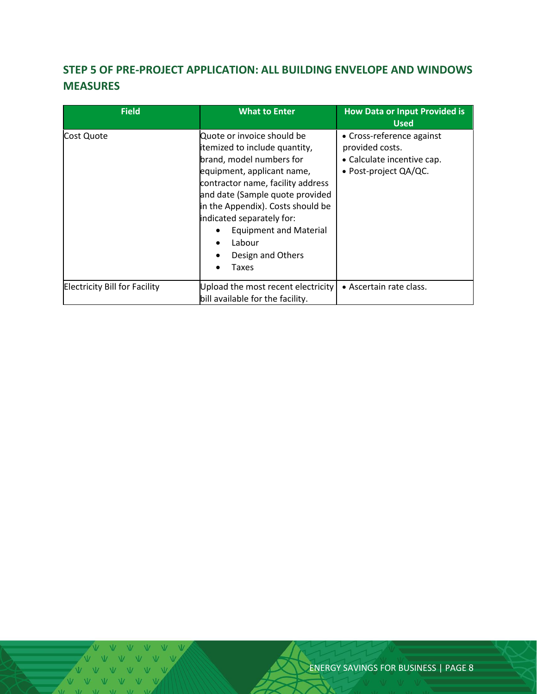# <span id="page-7-0"></span>**STEP 5 OF PRE-PROJECT APPLICATION: ALL BUILDING ENVELOPE AND WINDOWS MEASURES**

| <b>Field</b>                         | <b>What to Enter</b>                                                                                                                                                                                                                                                                                                                     | <b>How Data or Input Provided is</b><br><b>Used</b>                                                 |
|--------------------------------------|------------------------------------------------------------------------------------------------------------------------------------------------------------------------------------------------------------------------------------------------------------------------------------------------------------------------------------------|-----------------------------------------------------------------------------------------------------|
| Cost Quote                           | Quote or invoice should be<br>itemized to include quantity,<br>brand, model numbers for<br>equipment, applicant name,<br>contractor name, facility address<br>and date (Sample quote provided<br>in the Appendix). Costs should be<br>indicated separately for:<br><b>Equipment and Material</b><br>Labour<br>Design and Others<br>Taxes | • Cross-reference against<br>provided costs.<br>• Calculate incentive cap.<br>• Post-project QA/QC. |
| <b>Electricity Bill for Facility</b> | Upload the most recent electricity<br>bill available for the facility.                                                                                                                                                                                                                                                                   | • Ascertain rate class.                                                                             |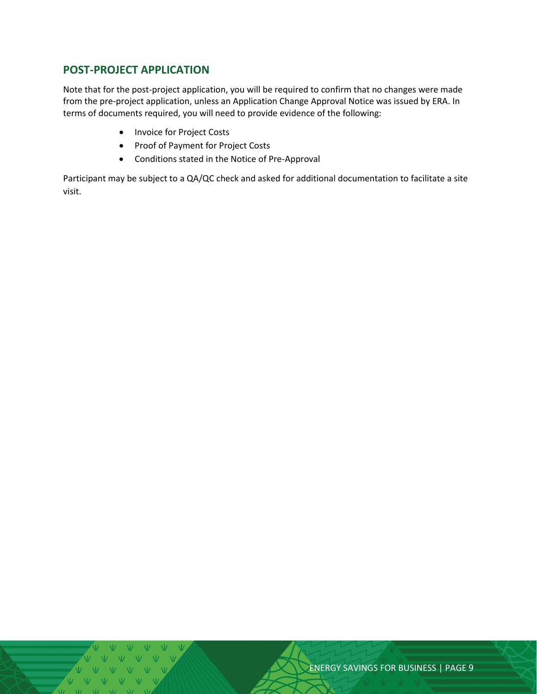### <span id="page-8-0"></span>**POST-PROJECT APPLICATION**

Note that for the post-project application, you will be required to confirm that no changes were made from the pre-project application, unless an Application Change Approval Notice was issued by ERA. In terms of documents required, you will need to provide evidence of the following:

- Invoice for Project Costs
- Proof of Payment for Project Costs
- Conditions stated in the Notice of Pre-Approval

Participant may be subject to a QA/QC check and asked for additional documentation to facilitate a site visit.